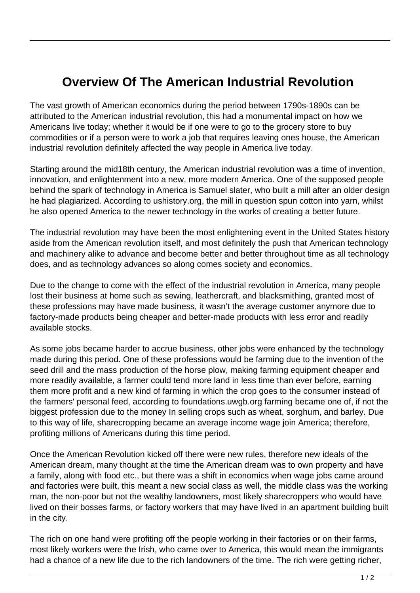## **Overview Of The American Industrial Revolution**

The vast growth of American economics during the period between 1790s-1890s can be attributed to the American industrial revolution, this had a monumental impact on how we Americans live today; whether it would be if one were to go to the grocery store to buy commodities or if a person were to work a job that requires leaving ones house, the American industrial revolution definitely affected the way people in America live today.

Starting around the mid18th century, the American industrial revolution was a time of invention, innovation, and enlightenment into a new, more modern America. One of the supposed people behind the spark of technology in America is Samuel slater, who built a mill after an older design he had plagiarized. According to ushistory.org, the mill in question spun cotton into yarn, whilst he also opened America to the newer technology in the works of creating a better future.

The industrial revolution may have been the most enlightening event in the United States history aside from the American revolution itself, and most definitely the push that American technology and machinery alike to advance and become better and better throughout time as all technology does, and as technology advances so along comes society and economics.

Due to the change to come with the effect of the industrial revolution in America, many people lost their business at home such as sewing, leathercraft, and blacksmithing, granted most of these professions may have made business, it wasn't the average customer anymore due to factory-made products being cheaper and better-made products with less error and readily available stocks.

As some jobs became harder to accrue business, other jobs were enhanced by the technology made during this period. One of these professions would be farming due to the invention of the seed drill and the mass production of the horse plow, making farming equipment cheaper and more readily available, a farmer could tend more land in less time than ever before, earning them more profit and a new kind of farming in which the crop goes to the consumer instead of the farmers' personal feed, according to foundations.uwgb.org farming became one of, if not the biggest profession due to the money In selling crops such as wheat, sorghum, and barley. Due to this way of life, sharecropping became an average income wage join America; therefore, profiting millions of Americans during this time period.

Once the American Revolution kicked off there were new rules, therefore new ideals of the American dream, many thought at the time the American dream was to own property and have a family, along with food etc., but there was a shift in economics when wage jobs came around and factories were built, this meant a new social class as well, the middle class was the working man, the non-poor but not the wealthy landowners, most likely sharecroppers who would have lived on their bosses farms, or factory workers that may have lived in an apartment building built in the city.

The rich on one hand were profiting off the people working in their factories or on their farms, most likely workers were the Irish, who came over to America, this would mean the immigrants had a chance of a new life due to the rich landowners of the time. The rich were getting richer,